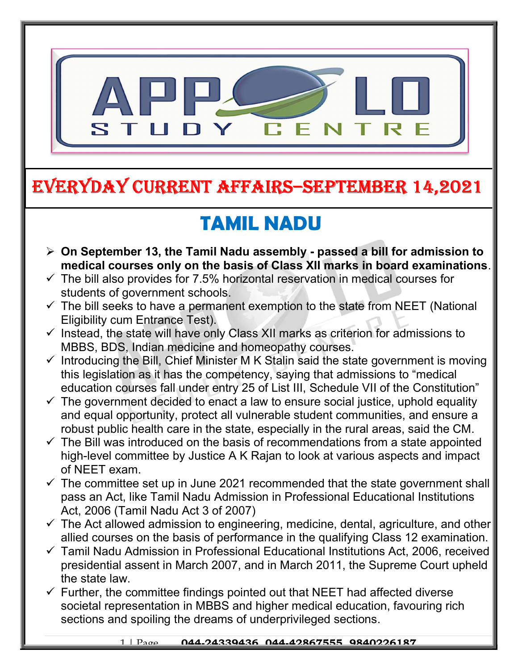

### EVERYDAY CURRENT AFFAIRS–SEPTEMBER 14,2021

-

# TAMIL NADU

- $\triangleright$  On September 13, the Tamil Nadu assembly passed a bill for admission to medical courses only on the basis of Class XII marks in board examinations.
- $\checkmark$  The bill also provides for 7.5% horizontal reservation in medical courses for students of government schools.
- $\checkmark$  The bill seeks to have a permanent exemption to the state from NEET (National Eligibility cum Entrance Test).
- $\checkmark$  Instead, the state will have only Class XII marks as criterion for admissions to MBBS, BDS, Indian medicine and homeopathy courses.
- $\checkmark$  Introducing the Bill, Chief Minister M K Stalin said the state government is moving this legislation as it has the competency, saying that admissions to "medical education courses fall under entry 25 of List III, Schedule VII of the Constitution"
- $\checkmark$  The government decided to enact a law to ensure social justice, uphold equality and equal opportunity, protect all vulnerable student communities, and ensure a robust public health care in the state, especially in the rural areas, said the CM.
- $\checkmark$  The Bill was introduced on the basis of recommendations from a state appointed high-level committee by Justice A K Rajan to look at various aspects and impact of NEET exam.
- $\checkmark$  The committee set up in June 2021 recommended that the state government shall pass an Act, like Tamil Nadu Admission in Professional Educational Institutions Act, 2006 (Tamil Nadu Act 3 of 2007)
- $\checkmark$  The Act allowed admission to engineering, medicine, dental, agriculture, and other allied courses on the basis of performance in the qualifying Class 12 examination.
- $\checkmark$  Tamil Nadu Admission in Professional Educational Institutions Act, 2006, received presidential assent in March 2007, and in March 2011, the Supreme Court upheld the state law.
- $\checkmark$  Further, the committee findings pointed out that NEET had affected diverse societal representation in MBBS and higher medical education, favouring rich sections and spoiling the dreams of underprivileged sections.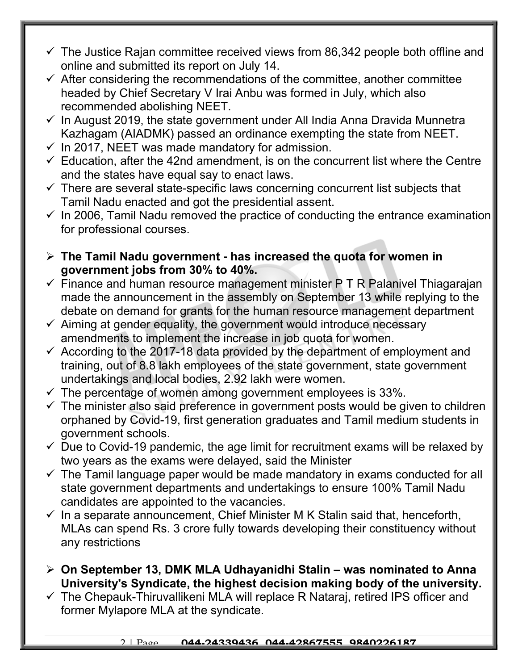- $\checkmark$  The Justice Rajan committee received views from 86,342 people both offline and online and submitted its report on July 14.
- $\checkmark$  After considering the recommendations of the committee, another committee headed by Chief Secretary V Irai Anbu was formed in July, which also recommended abolishing NEET.
- $\checkmark$  In August 2019, the state government under All India Anna Dravida Munnetra Kazhagam (AIADMK) passed an ordinance exempting the state from NEET.
- $\checkmark$  In 2017, NEET was made mandatory for admission.
- $\checkmark$  Education, after the 42nd amendment, is on the concurrent list where the Centre and the states have equal say to enact laws.
- $\checkmark$  There are several state-specific laws concerning concurrent list subjects that Tamil Nadu enacted and got the presidential assent.
- $\checkmark$  In 2006, Tamil Nadu removed the practice of conducting the entrance examination for professional courses.
- $\triangleright$  The Tamil Nadu government has increased the quota for women in government jobs from 30% to 40%.
- $\checkmark$  Finance and human resource management minister P T R Palanivel Thiagarajan made the announcement in the assembly on September 13 while replying to the debate on demand for grants for the human resource management department
- $\checkmark$  Aiming at gender equality, the government would introduce necessary amendments to implement the increase in job quota for women.
- $\checkmark$  According to the 2017-18 data provided by the department of employment and training, out of 8.8 lakh employees of the state government, state government undertakings and local bodies, 2.92 lakh were women.
- $\checkmark$  The percentage of women among government employees is 33%.
- $\checkmark$  The minister also said preference in government posts would be given to children orphaned by Covid-19, first generation graduates and Tamil medium students in government schools.
- $\checkmark$  Due to Covid-19 pandemic, the age limit for recruitment exams will be relaxed by two years as the exams were delayed, said the Minister
- $\checkmark$  The Tamil language paper would be made mandatory in exams conducted for all state government departments and undertakings to ensure 100% Tamil Nadu candidates are appointed to the vacancies.
- $\checkmark$  In a separate announcement, Chief Minister M K Stalin said that, henceforth, MLAs can spend Rs. 3 crore fully towards developing their constituency without any restrictions
- $\triangleright$  On September 13, DMK MLA Udhayanidhi Stalin was nominated to Anna University's Syndicate, the highest decision making body of the university.
- $\checkmark$  The Chepauk-Thiruvallikeni MLA will replace R Nataraj, retired IPS officer and former Mylapore MLA at the syndicate.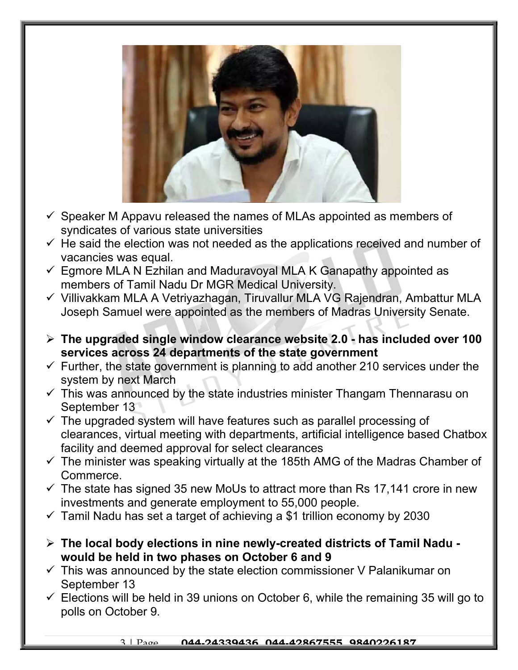

- $\checkmark$  Speaker M Appavu released the names of MLAs appointed as members of syndicates of various state universities
- $\checkmark$  He said the election was not needed as the applications received and number of vacancies was equal.
- $\checkmark$  Egmore MLA N Ezhilan and Maduravoyal MLA K Ganapathy appointed as members of Tamil Nadu Dr MGR Medical University.
- Villivakkam MLA A Vetriyazhagan, Tiruvallur MLA VG Rajendran, Ambattur MLA Joseph Samuel were appointed as the members of Madras University Senate.
- $\triangleright$  The upgraded single window clearance website 2.0 has included over 100 services across 24 departments of the state government
- $\checkmark$  Further, the state government is planning to add another 210 services under the system by next March
- $\checkmark$  This was announced by the state industries minister Thangam Thennarasu on September 13
- $\checkmark$  The upgraded system will have features such as parallel processing of clearances, virtual meeting with departments, artificial intelligence based Chatbox facility and deemed approval for select clearances
- $\checkmark$  The minister was speaking virtually at the 185th AMG of the Madras Chamber of Commerce.
- $\checkmark$  The state has signed 35 new MoUs to attract more than Rs 17,141 crore in new investments and generate employment to 55,000 people.
- $\checkmark$  Tamil Nadu has set a target of achieving a \$1 trillion economy by 2030
- $\triangleright$  The local body elections in nine newly-created districts of Tamil Nadu would be held in two phases on October 6 and 9
- $\checkmark$  This was announced by the state election commissioner V Palanikumar on September 13
- $\checkmark$  Elections will be held in 39 unions on October 6, while the remaining 35 will go to polls on October 9.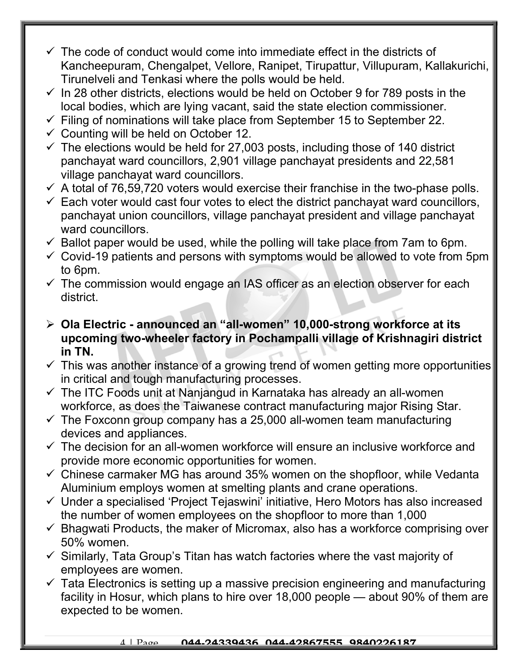- $\checkmark$  The code of conduct would come into immediate effect in the districts of Kancheepuram, Chengalpet, Vellore, Ranipet, Tirupattur, Villupuram, Kallakurichi, Tirunelveli and Tenkasi where the polls would be held.
- $\checkmark$  In 28 other districts, elections would be held on October 9 for 789 posts in the local bodies, which are lying vacant, said the state election commissioner.
- $\checkmark$  Filing of nominations will take place from September 15 to September 22.
- $\checkmark$  Counting will be held on October 12.
- $\checkmark$  The elections would be held for 27,003 posts, including those of 140 district panchayat ward councillors, 2,901 village panchayat presidents and 22,581 village panchayat ward councillors.
- $\checkmark$  A total of 76,59,720 voters would exercise their franchise in the two-phase polls.
- $\checkmark$  Each voter would cast four votes to elect the district panchayat ward councillors, panchayat union councillors, village panchayat president and village panchayat ward councillors.
- $\checkmark$  Ballot paper would be used, while the polling will take place from 7am to 6pm.
- $\checkmark$  Covid-19 patients and persons with symptoms would be allowed to vote from 5pm to 6pm.
- $\checkmark$  The commission would engage an IAS officer as an election observer for each district.
- Ola Electric announced an "all-women" 10,000-strong workforce at its upcoming two-wheeler factory in Pochampalli village of Krishnagiri district in TN.
- $\checkmark$  This was another instance of a growing trend of women getting more opportunities in critical and tough manufacturing processes.
- $\checkmark$  The ITC Foods unit at Nanjangud in Karnataka has already an all-women workforce, as does the Taiwanese contract manufacturing major Rising Star.
- $\checkmark$  The Foxconn group company has a 25,000 all-women team manufacturing devices and appliances.
- $\checkmark$  The decision for an all-women workforce will ensure an inclusive workforce and provide more economic opportunities for women.
- $\checkmark$  Chinese carmaker MG has around 35% women on the shopfloor, while Vedanta Aluminium employs women at smelting plants and crane operations.
- $\checkmark$  Under a specialised 'Project Tejaswini' initiative, Hero Motors has also increased the number of women employees on the shopfloor to more than 1,000
- $\checkmark$  Bhagwati Products, the maker of Micromax, also has a workforce comprising over 50% women.
- $\checkmark$  Similarly, Tata Group's Titan has watch factories where the vast majority of employees are women.
- $\checkmark$  Tata Electronics is setting up a massive precision engineering and manufacturing facility in Hosur, which plans to hire over 18,000 people — about 90% of them are expected to be women.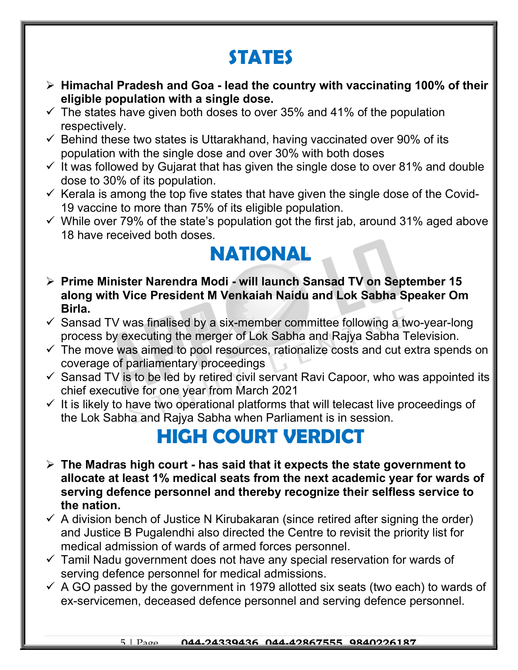# STATES

- $\triangleright$  Himachal Pradesh and Goa lead the country with vaccinating 100% of their eligible population with a single dose.
- $\checkmark$  The states have given both doses to over 35% and 41% of the population respectively.
- $\checkmark$  Behind these two states is Uttarakhand, having vaccinated over 90% of its population with the single dose and over 30% with both doses
- $\checkmark$  It was followed by Gujarat that has given the single dose to over 81% and double dose to 30% of its population.
- $\checkmark$  Kerala is among the top five states that have given the single dose of the Covid-19 vaccine to more than 75% of its eligible population.
- $\checkmark$  While over 79% of the state's population got the first jab, around 31% aged above 18 have received both doses.

### NATIONAL

- ▶ Prime Minister Narendra Modi will launch Sansad TV on September 15 along with Vice President M Venkaiah Naidu and Lok Sabha Speaker Om Birla.
- $\checkmark$  Sansad TV was finalised by a six-member committee following a two-year-long process by executing the merger of Lok Sabha and Rajya Sabha Television.
- $\checkmark$  The move was aimed to pool resources, rationalize costs and cut extra spends on coverage of parliamentary proceedings  $\eta_{\rm i}$
- $\checkmark$  Sansad TV is to be led by retired civil servant Ravi Capoor, who was appointed its chief executive for one year from March 2021
- $\checkmark$  It is likely to have two operational platforms that will telecast live proceedings of the Lok Sabha and Rajya Sabha when Parliament is in session.

#### HIGH COURT VERDICT

- $\triangleright$  The Madras high court has said that it expects the state government to allocate at least 1% medical seats from the next academic year for wards of serving defence personnel and thereby recognize their selfless service to the nation.
- $\checkmark$  A division bench of Justice N Kirubakaran (since retired after signing the order) and Justice B Pugalendhi also directed the Centre to revisit the priority list for medical admission of wards of armed forces personnel.
- $\checkmark$  Tamil Nadu government does not have any special reservation for wards of serving defence personnel for medical admissions.
- $\checkmark$  A GO passed by the government in 1979 allotted six seats (two each) to wards of ex-servicemen, deceased defence personnel and serving defence personnel.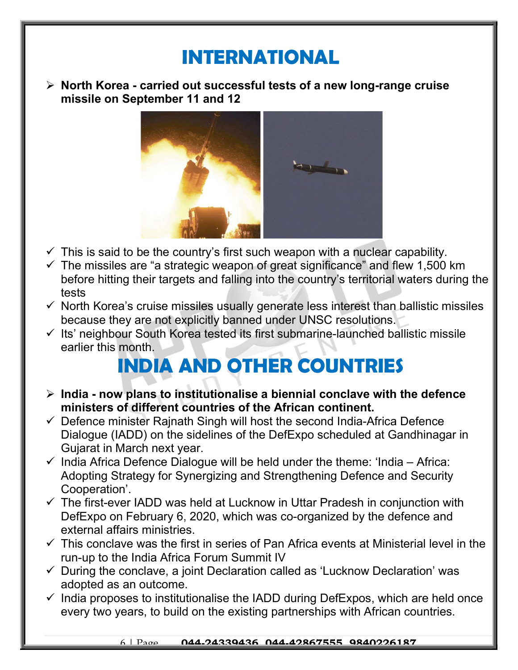### INTERNATIONAL

 $\triangleright$  North Korea - carried out successful tests of a new long-range cruise missile on September 11 and 12



- $\checkmark$  This is said to be the country's first such weapon with a nuclear capability.
- $\checkmark$  The missiles are "a strategic weapon of great significance" and flew 1,500 km before hitting their targets and falling into the country's territorial waters during the tests
- $\checkmark$  North Korea's cruise missiles usually generate less interest than ballistic missiles because they are not explicitly banned under UNSC resolutions.
- $\checkmark$  Its' neighbour South Korea tested its first submarine-launched ballistic missile earlier this month.

# INDIA AND OTHER COUNTRIES

- $\triangleright$  India now plans to institutionalise a biennial conclave with the defence ministers of different countries of the African continent.
- $\checkmark$  Defence minister Rajnath Singh will host the second India-Africa Defence Dialogue (IADD) on the sidelines of the DefExpo scheduled at Gandhinagar in Gujarat in March next year.
- $\checkmark$  India Africa Defence Dialogue will be held under the theme: 'India Africa: Adopting Strategy for Synergizing and Strengthening Defence and Security Cooperation'.
- $\checkmark$  The first-ever IADD was held at Lucknow in Uttar Pradesh in conjunction with DefExpo on February 6, 2020, which was co-organized by the defence and external affairs ministries.
- $\checkmark$  This conclave was the first in series of Pan Africa events at Ministerial level in the run-up to the India Africa Forum Summit IV
- $\checkmark$  During the conclave, a joint Declaration called as 'Lucknow Declaration' was adopted as an outcome.
- $\checkmark$  India proposes to institutionalise the IADD during DefExpos, which are held once every two years, to build on the existing partnerships with African countries.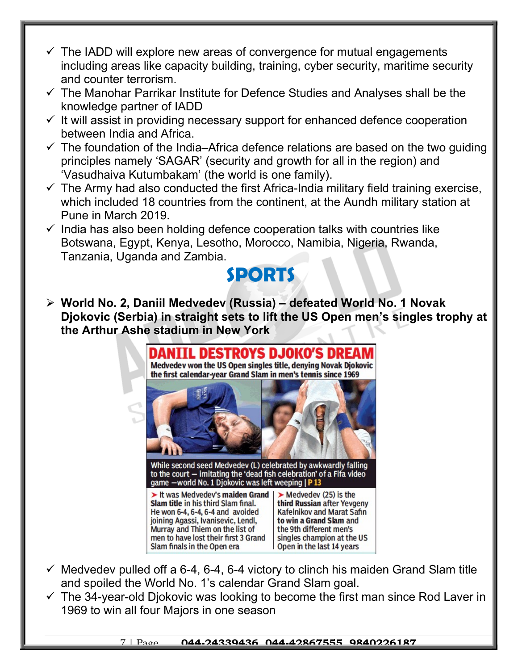- $\checkmark$  The IADD will explore new areas of convergence for mutual engagements including areas like capacity building, training, cyber security, maritime security and counter terrorism.
- $\checkmark$  The Manohar Parrikar Institute for Defence Studies and Analyses shall be the knowledge partner of IADD
- $\checkmark$  It will assist in providing necessary support for enhanced defence cooperation between India and Africa.
- $\checkmark$  The foundation of the India–Africa defence relations are based on the two quiding principles namely 'SAGAR' (security and growth for all in the region) and 'Vasudhaiva Kutumbakam' (the world is one family).
- $\checkmark$  The Army had also conducted the first Africa-India military field training exercise, which included 18 countries from the continent, at the Aundh military station at Pune in March 2019.
- $\checkmark$  India has also been holding defence cooperation talks with countries like Botswana, Egypt, Kenya, Lesotho, Morocco, Namibia, Nigeria, Rwanda, Tanzania, Uganda and Zambia.



 $\triangleright$  World No. 2, Daniil Medvedev (Russia) – defeated World No. 1 Novak Djokovic (Serbia) in straight sets to lift the US Open men's singles trophy at the Arthur Ashe stadium in New York



- $\checkmark$  Medvedev pulled off a 6-4, 6-4, 6-4 victory to clinch his maiden Grand Slam title and spoiled the World No. 1's calendar Grand Slam goal.
- $\checkmark$  The 34-year-old Djokovic was looking to become the first man since Rod Laver in 1969 to win all four Majors in one season

7 | Page 044-24339436, 044-42867555, 9840226187